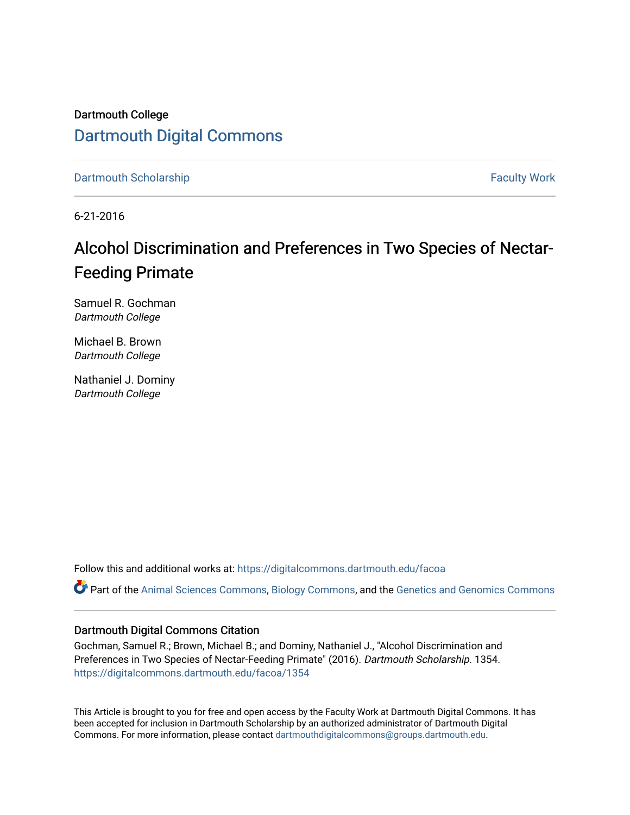Dartmouth College [Dartmouth Digital Commons](https://digitalcommons.dartmouth.edu/) 

[Dartmouth Scholarship](https://digitalcommons.dartmouth.edu/facoa) Faculty Work

6-21-2016

# Alcohol Discrimination and Preferences in Two Species of Nectar-Feeding Primate

Samuel R. Gochman Dartmouth College

Michael B. Brown Dartmouth College

Nathaniel J. Dominy Dartmouth College

Follow this and additional works at: [https://digitalcommons.dartmouth.edu/facoa](https://digitalcommons.dartmouth.edu/facoa?utm_source=digitalcommons.dartmouth.edu%2Ffacoa%2F1354&utm_medium=PDF&utm_campaign=PDFCoverPages)

Part of the [Animal Sciences Commons,](http://network.bepress.com/hgg/discipline/76?utm_source=digitalcommons.dartmouth.edu%2Ffacoa%2F1354&utm_medium=PDF&utm_campaign=PDFCoverPages) [Biology Commons](http://network.bepress.com/hgg/discipline/41?utm_source=digitalcommons.dartmouth.edu%2Ffacoa%2F1354&utm_medium=PDF&utm_campaign=PDFCoverPages), and the [Genetics and Genomics Commons](http://network.bepress.com/hgg/discipline/27?utm_source=digitalcommons.dartmouth.edu%2Ffacoa%2F1354&utm_medium=PDF&utm_campaign=PDFCoverPages)

#### Dartmouth Digital Commons Citation

Gochman, Samuel R.; Brown, Michael B.; and Dominy, Nathaniel J., "Alcohol Discrimination and Preferences in Two Species of Nectar-Feeding Primate" (2016). Dartmouth Scholarship. 1354. [https://digitalcommons.dartmouth.edu/facoa/1354](https://digitalcommons.dartmouth.edu/facoa/1354?utm_source=digitalcommons.dartmouth.edu%2Ffacoa%2F1354&utm_medium=PDF&utm_campaign=PDFCoverPages) 

This Article is brought to you for free and open access by the Faculty Work at Dartmouth Digital Commons. It has been accepted for inclusion in Dartmouth Scholarship by an authorized administrator of Dartmouth Digital Commons. For more information, please contact [dartmouthdigitalcommons@groups.dartmouth.edu](mailto:dartmouthdigitalcommons@groups.dartmouth.edu).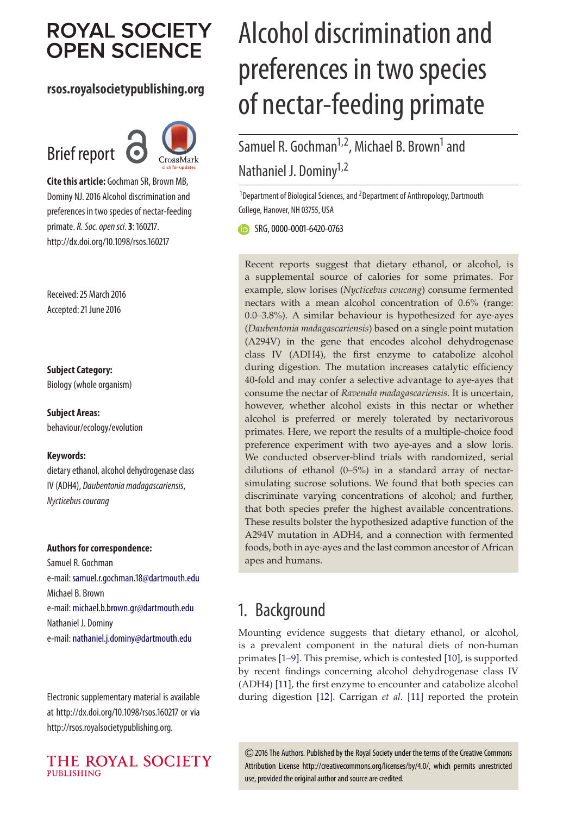# **ROYAL SOCIETY OPEN SCIENCE**

#### **rsos.royalsocietypublishing.org**





**Cite this article:** Gochman SR, Brown MB, Dominy NJ. 2016 Alcohol discrimination and preferences in two species of nectar-feeding primate.R. Soc. open sci.**3**: 160217. http://dx.doi.org/10.1098/rsos.160217

Received: 25 March 2016 Accepted: 21 June 2016

**Subject Category:**

Biology (whole organism)

**Subject Areas:** behaviour/ecology/evolution

#### **Keywords:**

dietary ethanol, alcohol dehydrogenase class IV (ADH4), Daubentonia madagascariensis, Nycticebus coucang

#### **Authors for correspondence:**

Samuel R. Gochman e-mail: [samuel.r.gochman.18@dartmouth.edu](mailto:samuel.r.gochman.18@dartmouth.edu) Michael B. Brown e-mail: [michael.b.brown.gr@dartmouth.edu](mailto:michael.b.brown.gr@dartmouth.edu) Nathaniel J. Dominy e-mail: [nathaniel.j.dominy@dartmouth.edu](mailto:nathaniel.j.dominy@dartmouth.edu)

Electronic supplementary material is available at http://dx.doi.org/10.1098/rsos.160217 or via http://rsos.royalsocietypublishing.org.



# Alcohol discrimination and preferences in two species of nectar-feeding primate

Samuel R. Gochman<sup>1,2</sup>, Michael B. Brown<sup>1</sup> and Nathaniel J. Dominy<sup>1,2</sup>

<sup>1</sup>Department of Biological Sciences, and <sup>2</sup>Department of Anthropology, Dartmouth College, Hanover, NH 03755, USA

SRG, [0000-0001-6420-0763](http://orcid.org/0000-0001-6420-0763)

Recent reports suggest that dietary ethanol, or alcohol, is a supplemental source of calories for some primates. For example, slow lorises (*Nycticebus coucang*) consume fermented nectars with a mean alcohol concentration of 0.6% (range: 0.0–3.8%). A similar behaviour is hypothesized for aye-ayes (*Daubentonia madagascariensis*) based on a single point mutation (A294V) in the gene that encodes alcohol dehydrogenase class IV (ADH4), the first enzyme to catabolize alcohol during digestion. The mutation increases catalytic efficiency 40-fold and may confer a selective advantage to aye-ayes that consume the nectar of *Ravenala madagascariensis*. It is uncertain, however, whether alcohol exists in this nectar or whether alcohol is preferred or merely tolerated by nectarivorous primates. Here, we report the results of a multiple-choice food preference experiment with two aye-ayes and a slow loris. We conducted observer-blind trials with randomized, serial dilutions of ethanol (0–5%) in a standard array of nectarsimulating sucrose solutions. We found that both species can discriminate varying concentrations of alcohol; and further, that both species prefer the highest available concentrations. These results bolster the hypothesized adaptive function of the A294V mutation in ADH4, and a connection with fermented foods, both in aye-ayes and the last common ancestor of African apes and humans.

## 1. Background

Mounting evidence suggests that dietary ethanol, or alcohol, is a prevalent component in the natural diets of non-human primates [\[1–](#page-7-0)[9\]](#page-7-1). This premise, which is contested [\[10\]](#page-7-2), is supported by recent findings concerning alcohol dehydrogenase class IV (ADH4) [\[11\]](#page-7-3), the first enzyme to encounter and catabolize alcohol during digestion [\[12\]](#page-7-4). Carrigan *et al.* [\[11\]](#page-7-3) reported the protein

2016 The Authors. Published by the Royal Society under the terms of the Creative Commons Attribution License http://creativecommons.org/licenses/by/4.0/, which permits unrestricted use, provided the original author and source are credited.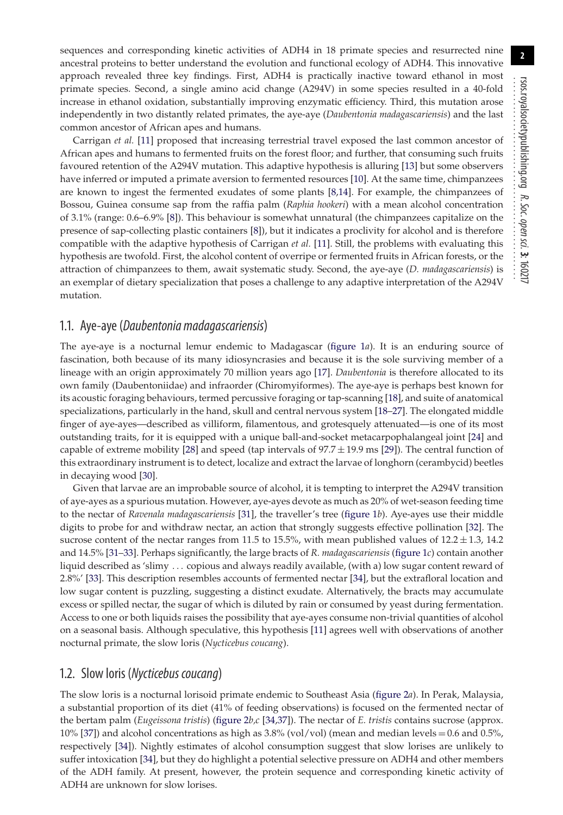sequences and corresponding kinetic activities of ADH4 in 18 primate species and resurrected nine ancestral proteins to better understand the evolution and functional ecology of ADH4. This innovative approach revealed three key findings. First, ADH4 is practically inactive toward ethanol in most primate species. Second, a single amino acid change (A294V) in some species resulted in a 40-fold increase in ethanol oxidation, substantially improving enzymatic efficiency. Third, this mutation arose independently in two distantly related primates, the aye-aye (*Daubentonia madagascariensis*) and the last common ancestor of African apes and humans.

Carrigan *et al.* [\[11\]](#page-7-3) proposed that increasing terrestrial travel exposed the last common ancestor of African apes and humans to fermented fruits on the forest floor; and further, that consuming such fruits favoured retention of the A294V mutation. This adaptive hypothesis is alluring [\[13\]](#page-7-5) but some observers have inferred or imputed a primate aversion to fermented resources [\[10\]](#page-7-2). At the same time, chimpanzees are known to ingest the fermented exudates of some plants [\[8,](#page-7-6)[14\]](#page-7-7). For example, the chimpanzees of Bossou, Guinea consume sap from the raffia palm (*Raphia hookeri*) with a mean alcohol concentration of 3.1% (range: 0.6–6.9% [\[8\]](#page-7-6)). This behaviour is somewhat unnatural (the chimpanzees capitalize on the presence of sap-collecting plastic containers [\[8\]](#page-7-6)), but it indicates a proclivity for alcohol and is therefore compatible with the adaptive hypothesis of Carrigan *et al.* [\[11\]](#page-7-3). Still, the problems with evaluating this hypothesis are twofold. First, the alcohol content of overripe or fermented fruits in African forests, or the attraction of chimpanzees to them, await systematic study. Second, the aye-aye (*D. madagascariensis*) is an exemplar of dietary specialization that poses a challenge to any adaptive interpretation of the A294V mutation.

#### 1.1. Aye-aye (Daubentonia madagascariensis)

The aye-aye is a nocturnal lemur endemic to Madagascar [\(figure 1](#page-3-0)*a*). It is an enduring source of fascination, both because of its many idiosyncrasies and because it is the sole surviving member of a lineage with an origin approximately 70 million years ago [\[17\]](#page-7-8). *Daubentonia* is therefore allocated to its own family (Daubentoniidae) and infraorder (Chiromyiformes). The aye-aye is perhaps best known for its acoustic foraging behaviours, termed percussive foraging or tap-scanning [\[18\]](#page-7-9), and suite of anatomical specializations, particularly in the hand, skull and central nervous system [\[18–](#page-7-9)[27\]](#page-8-0). The elongated middle finger of aye-ayes—described as villiform, filamentous, and grotesquely attenuated—is one of its most outstanding traits, for it is equipped with a unique ball-and-socket metacarpophalangeal joint [\[24\]](#page-8-1) and capable of extreme mobility [\[28\]](#page-8-2) and speed (tap intervals of  $97.7 \pm 19.9$  ms [\[29\]](#page-8-3)). The central function of this extraordinary instrument is to detect, localize and extract the larvae of longhorn (cerambycid) beetles in decaying wood [\[30\]](#page-8-4).

Given that larvae are an improbable source of alcohol, it is tempting to interpret the A294V transition of aye-ayes as a spurious mutation. However, aye-ayes devote as much as 20% of wet-season feeding time to the nectar of *Ravenala madagascariensis* [\[31\]](#page-8-5), the traveller's tree [\(figure 1](#page-3-0)*b*). Aye-ayes use their middle digits to probe for and withdraw nectar, an action that strongly suggests effective pollination [\[32\]](#page-8-6). The sucrose content of the nectar ranges from 11.5 to 15.5%, with mean published values of  $12.2 \pm 1.3$ , 14.2 and 14.5% [\[31–](#page-8-5)[33\]](#page-8-7). Perhaps significantly, the large bracts of *R. madagascariensis* [\(figure 1](#page-3-0)*c*) contain another liquid described as 'slimy ... copious and always readily available, (with a) low sugar content reward of 2.8%' [\[33\]](#page-8-7). This description resembles accounts of fermented nectar [\[34\]](#page-8-8), but the extrafloral location and low sugar content is puzzling, suggesting a distinct exudate. Alternatively, the bracts may accumulate excess or spilled nectar, the sugar of which is diluted by rain or consumed by yeast during fermentation. Access to one or both liquids raises the possibility that aye-ayes consume non-trivial quantities of alcohol on a seasonal basis. Although speculative, this hypothesis [\[11\]](#page-7-3) agrees well with observations of another nocturnal primate, the slow loris (*Nycticebus coucang*).

#### 1.2. Slow loris (Nycticebus coucang)

The slow loris is a nocturnal lorisoid primate endemic to Southeast Asia [\(figure 2](#page-3-1)*a*). In Perak, Malaysia, a substantial proportion of its diet (41% of feeding observations) is focused on the fermented nectar of the bertam palm (*Eugeissona tristis*) [\(figure 2](#page-3-1)*b,c* [\[34](#page-8-8)[,37\]](#page-8-9)). The nectar of *E. tristis* contains sucrose (approx. 10% [\[37\]](#page-8-9)) and alcohol concentrations as high as 3.8% (vol/vol) (mean and median levels = 0.6 and 0.5%, respectively [\[34\]](#page-8-8)). Nightly estimates of alcohol consumption suggest that slow lorises are unlikely to suffer intoxication [\[34\]](#page-8-8), but they do highlight a potential selective pressure on ADH4 and other members of the ADH family. At present, however, the protein sequence and corresponding kinetic activity of ADH4 are unknown for slow lorises.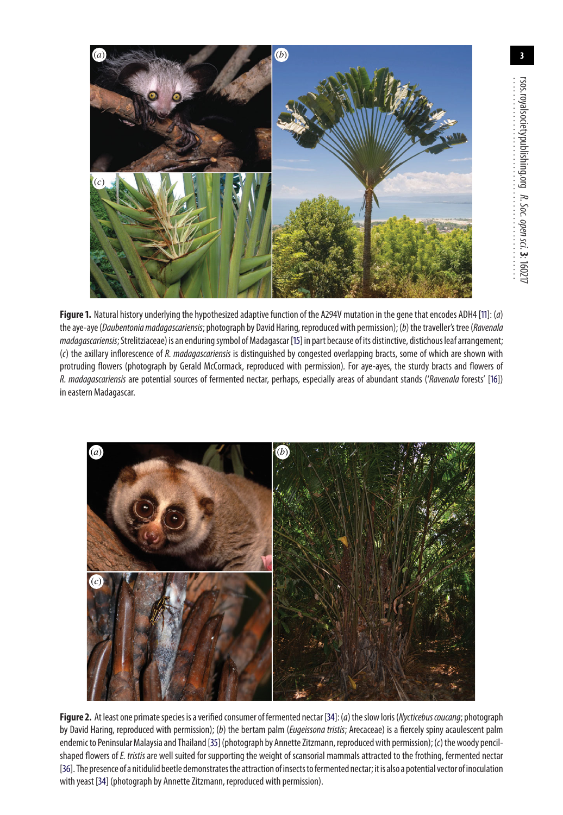

(*c*)

<span id="page-3-0"></span>**Figure 1.** Natural history underlying the hypothesized adaptive function of the A294V mutation in the gene that encodes ADH4 [\[11\]](#page-7-3): (a) the aye-aye (Daubentonia madagascariensis; photograph by David Haring, reproduced with permission); (b) the traveller's tree (Ravenala madagascariensis; Strelitziaceae) is an enduring symbol of Madagascar [\[15\]](#page-7-10) in part because of its distinctive, distichous leaf arrangement; (c) the axillary inflorescence of R. madagascariensis is distinguished by congested overlapping bracts, some of which are shown with protruding flowers (photograph by Gerald McCormack, reproduced with permission). For aye-ayes, the sturdy bracts and flowers of R. madagascariensis are potential sources of fermented nectar, perhaps, especially areas of abundant stands ('Ravenala forests' [\[16\]](#page-7-11)) in eastern Madagascar.



<span id="page-3-1"></span>**Figure 2.** At least one primate species is a verified consumer of fermented nectar [\[34\]](#page-8-8): (a) the slow loris (Nycticebus coucang; photograph by David Haring, reproduced with permission); (b) the bertam palm (*Eugeissona tristis*; Arecaceae) is a fiercely spiny acaulescent palm endemic to Peninsular Malaysia and Thailand [\[35\]](#page-8-10) (photograph by Annette Zitzmann, reproduced with permission); (c) the woody pencilshaped flowers of E. tristis are well suited for supporting the weight of scansorial mammals attracted to the frothing, fermented nectar [\[36\]](#page-8-11). The presence of a nitidulid beetle demonstratesthe attraction of insectstofermented nectar; it is also a potential vector of inoculation with yeast [\[34\]](#page-8-8) (photograph by Annette Zitzmann, reproduced with permission).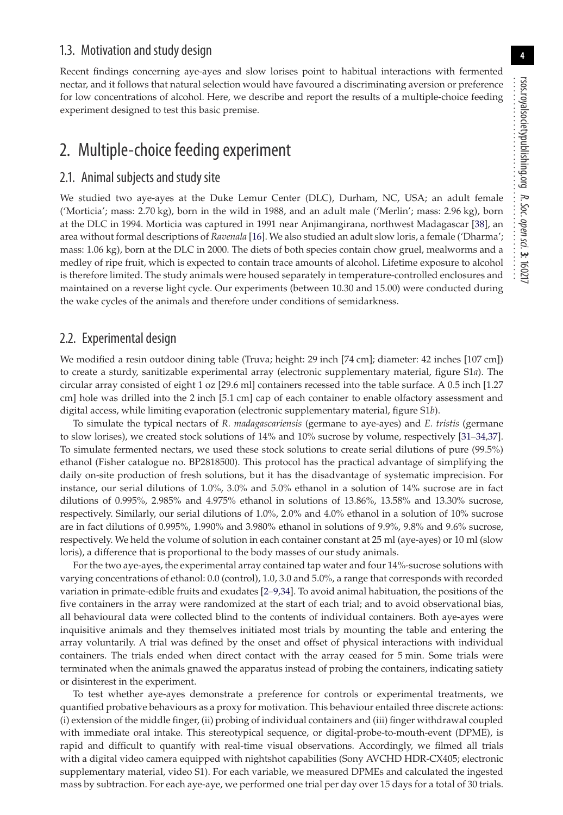#### 1.3. Motivation and study design

Recent findings concerning aye-ayes and slow lorises point to habitual interactions with fermented nectar, and it follows that natural selection would have favoured a discriminating aversion or preference for low concentrations of alcohol. Here, we describe and report the results of a multiple-choice feeding experiment designed to test this basic premise.

## 2. Multiple-choice feeding experiment

#### 2.1. Animal subjects and study site

We studied two aye-ayes at the Duke Lemur Center (DLC), Durham, NC, USA; an adult female ('Morticia'; mass: 2.70 kg), born in the wild in 1988, and an adult male ('Merlin'; mass: 2.96 kg), born at the DLC in 1994. Morticia was captured in 1991 near Anjimangirana, northwest Madagascar [\[38\]](#page-8-12), an area without formal descriptions of *Ravenala* [\[16\]](#page-7-11). We also studied an adult slow loris, a female ('Dharma'; mass: 1.06 kg), born at the DLC in 2000. The diets of both species contain chow gruel, mealworms and a medley of ripe fruit, which is expected to contain trace amounts of alcohol. Lifetime exposure to alcohol is therefore limited. The study animals were housed separately in temperature-controlled enclosures and maintained on a reverse light cycle. Our experiments (between 10.30 and 15.00) were conducted during the wake cycles of the animals and therefore under conditions of semidarkness.

#### 2.2. Experimental design

We modified a resin outdoor dining table (Truva; height: 29 inch [74 cm]; diameter: 42 inches [107 cm]) to create a sturdy, sanitizable experimental array (electronic supplementary material, figure S1*a*). The circular array consisted of eight 1 oz [29.6 ml] containers recessed into the table surface. A 0.5 inch [1.27 cm] hole was drilled into the 2 inch [5.1 cm] cap of each container to enable olfactory assessment and digital access, while limiting evaporation (electronic supplementary material, figure S1*b*).

To simulate the typical nectars of *R. madagascariensis* (germane to aye-ayes) and *E. tristis* (germane to slow lorises), we created stock solutions of 14% and 10% sucrose by volume, respectively [\[31](#page-8-5)[–34](#page-8-8)[,37\]](#page-8-9). To simulate fermented nectars, we used these stock solutions to create serial dilutions of pure (99.5%) ethanol (Fisher catalogue no. BP2818500). This protocol has the practical advantage of simplifying the daily on-site production of fresh solutions, but it has the disadvantage of systematic imprecision. For instance, our serial dilutions of 1.0%, 3.0% and 5.0% ethanol in a solution of 14% sucrose are in fact dilutions of 0.995%, 2.985% and 4.975% ethanol in solutions of 13.86%, 13.58% and 13.30% sucrose, respectively. Similarly, our serial dilutions of 1.0%, 2.0% and 4.0% ethanol in a solution of 10% sucrose are in fact dilutions of 0.995%, 1.990% and 3.980% ethanol in solutions of 9.9%, 9.8% and 9.6% sucrose, respectively. We held the volume of solution in each container constant at 25 ml (aye-ayes) or 10 ml (slow loris), a difference that is proportional to the body masses of our study animals.

For the two aye-ayes, the experimental array contained tap water and four 14%-sucrose solutions with varying concentrations of ethanol: 0.0 (control), 1.0, 3.0 and 5.0%, a range that corresponds with recorded variation in primate-edible fruits and exudates [\[2–](#page-7-12)[9](#page-7-1)[,34\]](#page-8-8). To avoid animal habituation, the positions of the five containers in the array were randomized at the start of each trial; and to avoid observational bias, all behavioural data were collected blind to the contents of individual containers. Both aye-ayes were inquisitive animals and they themselves initiated most trials by mounting the table and entering the array voluntarily. A trial was defined by the onset and offset of physical interactions with individual containers. The trials ended when direct contact with the array ceased for 5 min. Some trials were terminated when the animals gnawed the apparatus instead of probing the containers, indicating satiety or disinterest in the experiment.

To test whether aye-ayes demonstrate a preference for controls or experimental treatments, we quantified probative behaviours as a proxy for motivation. This behaviour entailed three discrete actions: (i) extension of the middle finger, (ii) probing of individual containers and (iii) finger withdrawal coupled with immediate oral intake. This stereotypical sequence, or digital-probe-to-mouth-event (DPME), is rapid and difficult to quantify with real-time visual observations. Accordingly, we filmed all trials with a digital video camera equipped with nightshot capabilities (Sony AVCHD HDR-CX405; electronic supplementary material, video S1). For each variable, we measured DPMEs and calculated the ingested mass by subtraction. For each aye-aye, we performed one trial per day over 15 days for a total of 30 trials.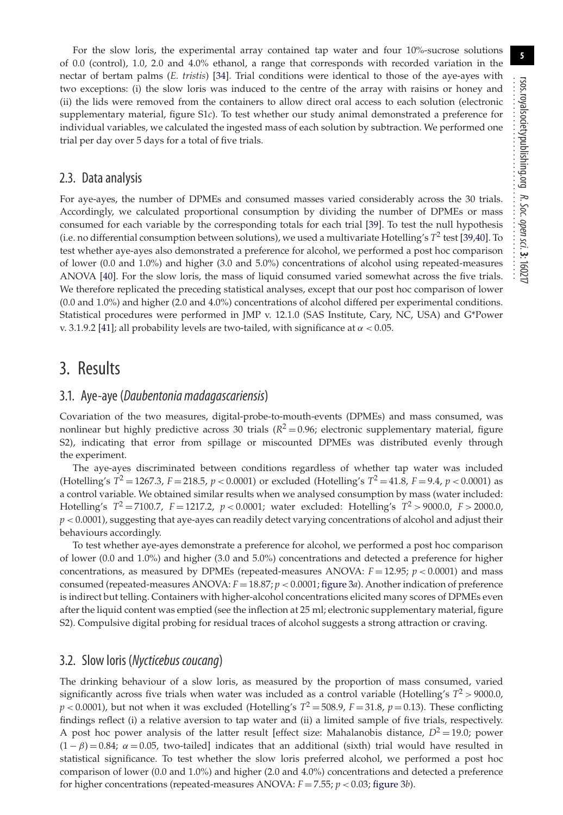For the slow loris, the experimental array contained tap water and four 10%-sucrose solutions of 0.0 (control), 1.0, 2.0 and 4.0% ethanol, a range that corresponds with recorded variation in the nectar of bertam palms (*E. tristis*) [\[34\]](#page-8-8). Trial conditions were identical to those of the aye-ayes with two exceptions: (i) the slow loris was induced to the centre of the array with raisins or honey and (ii) the lids were removed from the containers to allow direct oral access to each solution (electronic supplementary material, figure S1*c*). To test whether our study animal demonstrated a preference for individual variables, we calculated the ingested mass of each solution by subtraction. We performed one trial per day over 5 days for a total of five trials.

#### 2.3. Data analysis

For aye-ayes, the number of DPMEs and consumed masses varied considerably across the 30 trials. Accordingly, we calculated proportional consumption by dividing the number of DPMEs or mass consumed for each variable by the corresponding totals for each trial [\[39\]](#page-8-13). To test the null hypothesis (i.e. no differential consumption between solutions), we used a multivariate Hotelling's *T*<sup>2</sup> test [\[39,](#page-8-13)[40\]](#page-8-14). To test whether aye-ayes also demonstrated a preference for alcohol, we performed a post hoc comparison of lower (0.0 and 1.0%) and higher (3.0 and 5.0%) concentrations of alcohol using repeated-measures ANOVA [\[40\]](#page-8-14). For the slow loris, the mass of liquid consumed varied somewhat across the five trials. We therefore replicated the preceding statistical analyses, except that our post hoc comparison of lower (0.0 and 1.0%) and higher (2.0 and 4.0%) concentrations of alcohol differed per experimental conditions. Statistical procedures were performed in JMP v. 12.1.0 (SAS Institute, Cary, NC, USA) and G\*Power v. 3.1.9.2 [\[41\]](#page-8-15); all probability levels are two-tailed, with significance at  $\alpha$  < 0.05.

### 3. Results

#### 3.1. Aye-aye (Daubentonia madagascariensis)

Covariation of the two measures, digital-probe-to-mouth-events (DPMEs) and mass consumed, was nonlinear but highly predictive across 30 trials  $(R^2 = 0.96)$ ; electronic supplementary material, figure S2), indicating that error from spillage or miscounted DPMEs was distributed evenly through the experiment.

The aye-ayes discriminated between conditions regardless of whether tap water was included (Hotelling's  $T^2 = 1267.3$ ,  $F = 218.5$ ,  $p < 0.0001$ ) or excluded (Hotelling's  $T^2 = 41.8$ ,  $F = 9.4$ ,  $p < 0.0001$ ) as a control variable. We obtained similar results when we analysed consumption by mass (water included: Hotelling's  $T^2 = 7100.7$ ,  $F = 1217.2$ ,  $p < 0.0001$ ; water excluded: Hotelling's  $T^2 > 9000.0$ ,  $F > 2000.0$ ,  $p < 0.0001$ ), suggesting that aye-ayes can readily detect varying concentrations of alcohol and adjust their behaviours accordingly.

To test whether aye-ayes demonstrate a preference for alcohol, we performed a post hoc comparison of lower (0.0 and 1.0%) and higher (3.0 and 5.0%) concentrations and detected a preference for higher concentrations, as measured by DPMEs (repeated-measures ANOVA: *F* = 12.95; *p* < 0.0001) and mass consumed (repeated-measures ANOVA: *F* = 18.87; *p* < 0.0001; [figure 3](#page-6-0)*a*). Another indication of preference is indirect but telling. Containers with higher-alcohol concentrations elicited many scores of DPMEs even after the liquid content was emptied (see the inflection at 25 ml; electronic supplementary material, figure S2). Compulsive digital probing for residual traces of alcohol suggests a strong attraction or craving.

#### 3.2. Slow loris (Nycticebus coucang)

The drinking behaviour of a slow loris, as measured by the proportion of mass consumed, varied significantly across five trials when water was included as a control variable (Hotelling's  $T^2$  > 9000.0,  $p < 0.0001$ ), but not when it was excluded (Hotelling's  $T^2 = 508.9$ ,  $F = 31.8$ ,  $p = 0.13$ ). These conflicting findings reflect (i) a relative aversion to tap water and (ii) a limited sample of five trials, respectively. A post hoc power analysis of the latter result [effect size: Mahalanobis distance,  $D^2 = 19.0$ ; power  $(1 - \beta) = 0.84$ ;  $\alpha = 0.05$ , two-tailed] indicates that an additional (sixth) trial would have resulted in statistical significance. To test whether the slow loris preferred alcohol, we performed a post hoc comparison of lower (0.0 and 1.0%) and higher (2.0 and 4.0%) concentrations and detected a preference for higher concentrations (repeated-measures ANOVA:  $F = 7.55$ ;  $p < 0.03$ ; [figure 3](#page-6-0)*b*).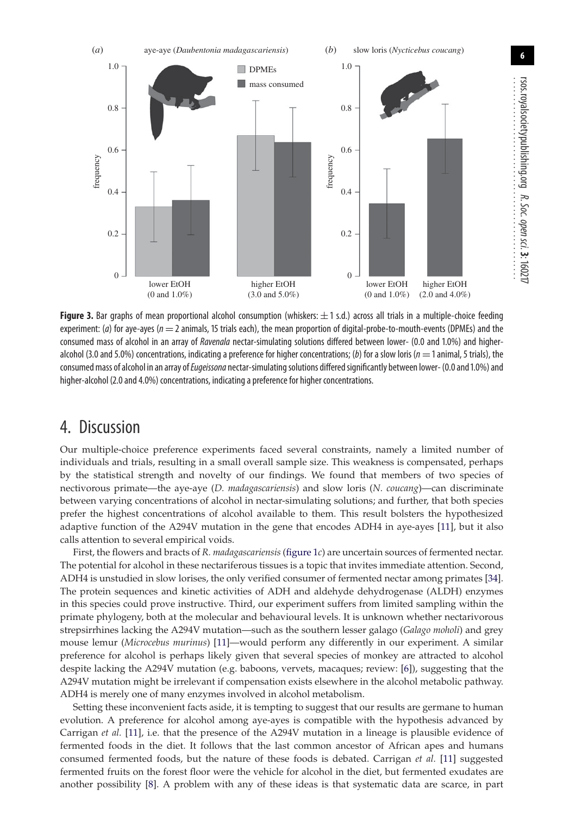**6**



<span id="page-6-0"></span>**Figure 3.** Bar graphs of mean proportional alcohol consumption (whiskers:  $\pm$  1 s.d.) across all trials in a multiple-choice feeding experiment: (a) for aye-ayes ( $n = 2$  animals, 15 trials each), the mean proportion of digital-probe-to-mouth-events (DPMEs) and the consumed mass of alcohol in an array of Ravenala nectar-simulating solutions differed between lower- (0.0 and 1.0%) and higheralcohol (3.0 and 5.0%) concentrations, indicating a preference for higher concentrations; (b) for a slow loris ( $n=1$  animal, 5 trials), the consumed mass of alcohol in an array of Eugeissona nectar-simulating solutions differed significantly between lower- (0.0 and 1.0%) and higher-alcohol (2.0 and 4.0%) concentrations, indicating a preference for higher concentrations.

## 4. Discussion

Our multiple-choice preference experiments faced several constraints, namely a limited number of individuals and trials, resulting in a small overall sample size. This weakness is compensated, perhaps by the statistical strength and novelty of our findings. We found that members of two species of nectivorous primate—the aye-aye (*D. madagascariensis*) and slow loris (*N. coucang*)—can discriminate between varying concentrations of alcohol in nectar-simulating solutions; and further, that both species prefer the highest concentrations of alcohol available to them. This result bolsters the hypothesized adaptive function of the A294V mutation in the gene that encodes ADH4 in aye-ayes [\[11\]](#page-7-3), but it also calls attention to several empirical voids.

First, the flowers and bracts of *R. madagascariensis* [\(figure 1](#page-3-0)*c*) are uncertain sources of fermented nectar. The potential for alcohol in these nectariferous tissues is a topic that invites immediate attention. Second, ADH4 is unstudied in slow lorises, the only verified consumer of fermented nectar among primates [\[34\]](#page-8-8). The protein sequences and kinetic activities of ADH and aldehyde dehydrogenase (ALDH) enzymes in this species could prove instructive. Third, our experiment suffers from limited sampling within the primate phylogeny, both at the molecular and behavioural levels. It is unknown whether nectarivorous strepsirrhines lacking the A294V mutation—such as the southern lesser galago (*Galago moholi*) and grey mouse lemur (*Microcebus murinus*) [\[11\]](#page-7-3)—would perform any differently in our experiment. A similar preference for alcohol is perhaps likely given that several species of monkey are attracted to alcohol despite lacking the A294V mutation (e.g. baboons, vervets, macaques; review: [\[6\]](#page-7-13)), suggesting that the A294V mutation might be irrelevant if compensation exists elsewhere in the alcohol metabolic pathway. ADH4 is merely one of many enzymes involved in alcohol metabolism.

Setting these inconvenient facts aside, it is tempting to suggest that our results are germane to human evolution. A preference for alcohol among aye-ayes is compatible with the hypothesis advanced by Carrigan *et al.* [\[11\]](#page-7-3), i.e. that the presence of the A294V mutation in a lineage is plausible evidence of fermented foods in the diet. It follows that the last common ancestor of African apes and humans consumed fermented foods, but the nature of these foods is debated. Carrigan *et al.* [\[11\]](#page-7-3) suggested fermented fruits on the forest floor were the vehicle for alcohol in the diet, but fermented exudates are another possibility [\[8\]](#page-7-6). A problem with any of these ideas is that systematic data are scarce, in part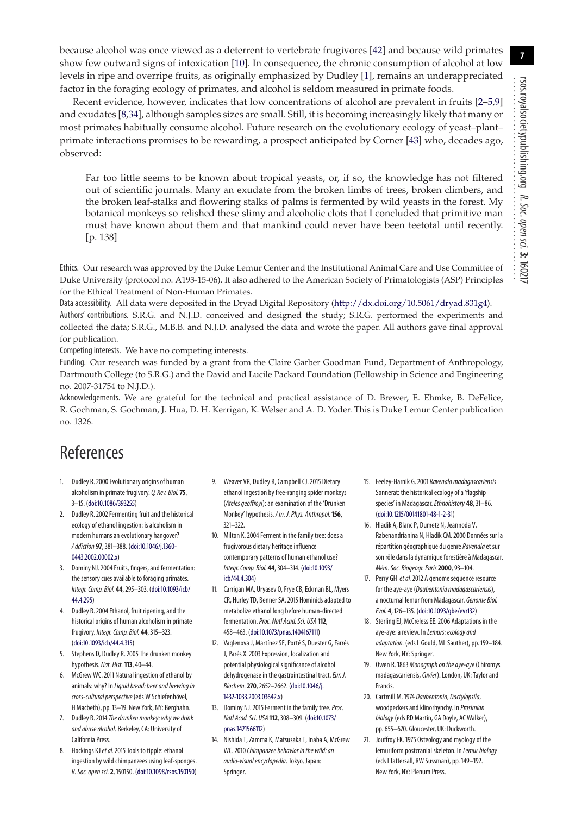because alcohol was once viewed as a deterrent to vertebrate frugivores [\[42\]](#page-8-16) and because wild primates show few outward signs of intoxication [\[10\]](#page-7-2). In consequence, the chronic consumption of alcohol at low levels in ripe and overripe fruits, as originally emphasized by Dudley [\[1\]](#page-7-0), remains an underappreciated factor in the foraging ecology of primates, and alcohol is seldom measured in primate foods.

Recent evidence, however, indicates that low concentrations of alcohol are prevalent in fruits [\[2](#page-7-12)[–5,](#page-7-14)[9\]](#page-7-1) and exudates [\[8](#page-7-6)[,34\]](#page-8-8), although samples sizes are small. Still, it is becoming increasingly likely that many or most primates habitually consume alcohol. Future research on the evolutionary ecology of yeast–plant– primate interactions promises to be rewarding, a prospect anticipated by Corner [\[43\]](#page-8-17) who, decades ago, observed:

Far too little seems to be known about tropical yeasts, or, if so, the knowledge has not filtered out of scientific journals. Many an exudate from the broken limbs of trees, broken climbers, and the broken leaf-stalks and flowering stalks of palms is fermented by wild yeasts in the forest. My botanical monkeys so relished these slimy and alcoholic clots that I concluded that primitive man must have known about them and that mankind could never have been teetotal until recently. [p. 138]

Ethics. Our research was approved by the Duke Lemur Center and the Institutional Animal Care and Use Committee of Duke University (protocol no. A193-15-06). It also adhered to the American Society of Primatologists (ASP) Principles for the Ethical Treatment of Non-Human Primates.

Data accessibility. All data were deposited in the Dryad Digital Repository [\(http://dx.doi.org/10.5061/dryad.831g4\)](http://dx.doi.org/10.5061/dryad.831g4). Authors' contributions. S.R.G. and N.J.D. conceived and designed the study; S.R.G. performed the experiments and collected the data; S.R.G., M.B.B. and N.J.D. analysed the data and wrote the paper. All authors gave final approval for publication.

Competing interests. We have no competing interests.

Funding. Our research was funded by a grant from the Claire Garber Goodman Fund, Department of Anthropology, Dartmouth College (to S.R.G.) and the David and Lucile Packard Foundation (Fellowship in Science and Engineering no. 2007-31754 to N.J.D.).

Acknowledgements. We are grateful for the technical and practical assistance of D. Brewer, E. Ehmke, B. DeFelice, R. Gochman, S. Gochman, J. Hua, D. H. Kerrigan, K. Welser and A. D. Yoder. This is Duke Lemur Center publication no. 1326.

## References

- <span id="page-7-0"></span>1. Dudley R. 2000 Evolutionary origins of human alcoholism in primate frugivory. Q. Rev. Biol.**75**, 3–15. [\(doi:10.1086/393255\)](http://dx.doi.org/10.1086/393255)
- <span id="page-7-12"></span>2. Dudley R. 2002 Fermenting fruit and the historical ecology of ethanol ingestion: is alcoholism in modern humans an evolutionary hangover? Addiction **97**, 381–388. [\(doi:10.1046/j.1360-](http://dx.doi.org/10.1046/j.1360-0443.2002.00002.x) [0443.2002.00002.x\)](http://dx.doi.org/10.1046/j.1360-0443.2002.00002.x)
- 3. Dominy NJ. 2004 Fruits, fingers, and fermentation: the sensory cues available to foraging primates. Integr. Comp. Biol. **44**, 295–303. [\(doi:10.1093/icb/](http://dx.doi.org/10.1093/icb/44.4.295) [44.4.295\)](http://dx.doi.org/10.1093/icb/44.4.295)
- 4. Dudley R. 2004 Ethanol, fruit ripening, and the historical origins of human alcoholism in primate frugivory. Integr. Comp. Biol. **44**, 315–323. [\(doi:10.1093/icb/44.4.315\)](http://dx.doi.org/10.1093/icb/44.4.315)
- <span id="page-7-14"></span>5. Stephens D, Dudley R. 2005 The drunken monkey hypothesis. Nat. Hist.**113**, 40–44.
- <span id="page-7-13"></span>6. McGrew WC. 2011 Natural ingestion of ethanol by animals: why? In Liquid bread: beer and brewing in cross-cultural perspective(eds W Schiefenhövel, H Macbeth), pp. 13–19. New York, NY: Berghahn.
- 7. Dudley R. 2014 The drunken monkey: why we drink and abuse alcohol. Berkeley, CA: University of California Press.
- <span id="page-7-6"></span>8. Hockings KJ et al. 2015 Tools to tipple: ethanol ingestion by wild chimpanzees using leaf-sponges. R. Soc. open sci.**2**, 150150. [\(doi:10.1098/rsos.150150\)](http://dx.doi.org/10.1098/rsos.150150)
- <span id="page-7-1"></span>9. Weaver VR, Dudley R, Campbell CJ. 2015 Dietary ethanol ingestion by free-ranging spider monkeys (Ateles geoffroyi): an examination of the 'Drunken Monkey' hypothesis. Am. J. Phys. Anthropol.**156**, 321–322.
- <span id="page-7-2"></span>10. Milton K. 2004 Ferment in the family tree: does a frugivorous dietary heritage influence contemporary patterns of human ethanol use? Integr. Comp. Biol. **44**, 304–314. [\(doi:10.1093/](http://dx.doi.org/10.1093/icb/44.4.304) [icb/44.4.304\)](http://dx.doi.org/10.1093/icb/44.4.304)
- <span id="page-7-3"></span>11. Carrigan MA, Uryasev O, Frye CB, Eckman BL, Myers CR, Hurley TD, Benner SA. 2015 Hominids adapted to metabolize ethanol long before human-directed fermentation. Proc. Natl Acad. Sci. USA 112, 458–463. [\(doi:10.1073/pnas.1404167111\)](http://dx.doi.org/10.1073/pnas.1404167111)
- <span id="page-7-4"></span>12. Vaglenova J, Martínez SE, Porté S, Duester G, Farrés J, Parés X. 2003 Expression, localization and potential physiological significance of alcohol dehydrogenase in the gastrointestinal tract. Eur. J. Biochem.**270**, 2652–2662. [\(doi:10.1046/j.](http://dx.doi.org/10.1046/j.1432-1033.2003.03642.x) [1432-1033.2003.03642.x\)](http://dx.doi.org/10.1046/j.1432-1033.2003.03642.x)
- <span id="page-7-5"></span>13. Dominy NJ. 2015 Ferment in the family tree. Proc. Natl Acad. Sci. USA **112**, 308–309. [\(doi:10.1073/](http://dx.doi.org/10.1073/pnas.1421566112) [pnas.1421566112\)](http://dx.doi.org/10.1073/pnas.1421566112)
- <span id="page-7-7"></span>14. Nishida T, Zamma K, Matsusaka T, Inaba A, McGrew WC. 2010 Chimpanzee behavior in the wild: an audio-visual encyclopedia. Tokyo, Japan: Springer.
- <span id="page-7-10"></span>15. Feeley-Harnik G. 2001 Ravenala madagascariensis Sonnerat: the historical ecology of a 'flagship species' in Madagascar.Ethnohistory **48**, 31–86. [\(doi:10.1215/00141801-48-1-2-31\)](http://dx.doi.org/10.1215/00141801-48-1-2-31)
- <span id="page-7-11"></span>16. Hladik A, Blanc P, Dumetz N, Jeannoda V, Rabenandrianina N, Hladik CM. 2000 Données sur la répartition géographique du genre Ravenala et sur son rôle dans la dynamique forestière à Madagascar. Mém. Soc. Biogeogr. Paris**2000**, 93–104.
- <span id="page-7-8"></span>17. Perry GH et al. 2012 A genome sequence resource for the aye-aye (Daubentonia madagascariensis), a nocturnal lemur from Madagascar. Genome Biol. Evol. **4**, 126–135. [\(doi:10.1093/gbe/evr132\)](http://dx.doi.org/10.1093/gbe/evr132)
- <span id="page-7-9"></span>18. Sterling EJ, McCreless EE. 2006 Adaptations in the aye-aye: a review. In Lemurs: ecology and adaptation. (eds L Gould, ML Sauther), pp. 159–184. New York, NY: Springer.
- 19. Owen R. 1863 Monograph on the aye-aye (Chiromys madagascariensis, Cuvier). London, UK: Taylor and Francis.
- 20. Cartmill M. 1974 Daubentonia, Dactylopsila, woodpeckers and klinorhynchy. In Prosimian biology (eds RD Martin, GA Doyle, AC Walker), pp. 655–670. Gloucester, UK: Duckworth.
- 21. Jouffroy FK. 1975 Osteology and myology of the lemuriform postcranial skeleton. In Lemur biology (eds I Tattersall, RW Sussman), pp. 149–192. New York, NY: Plenum Press.